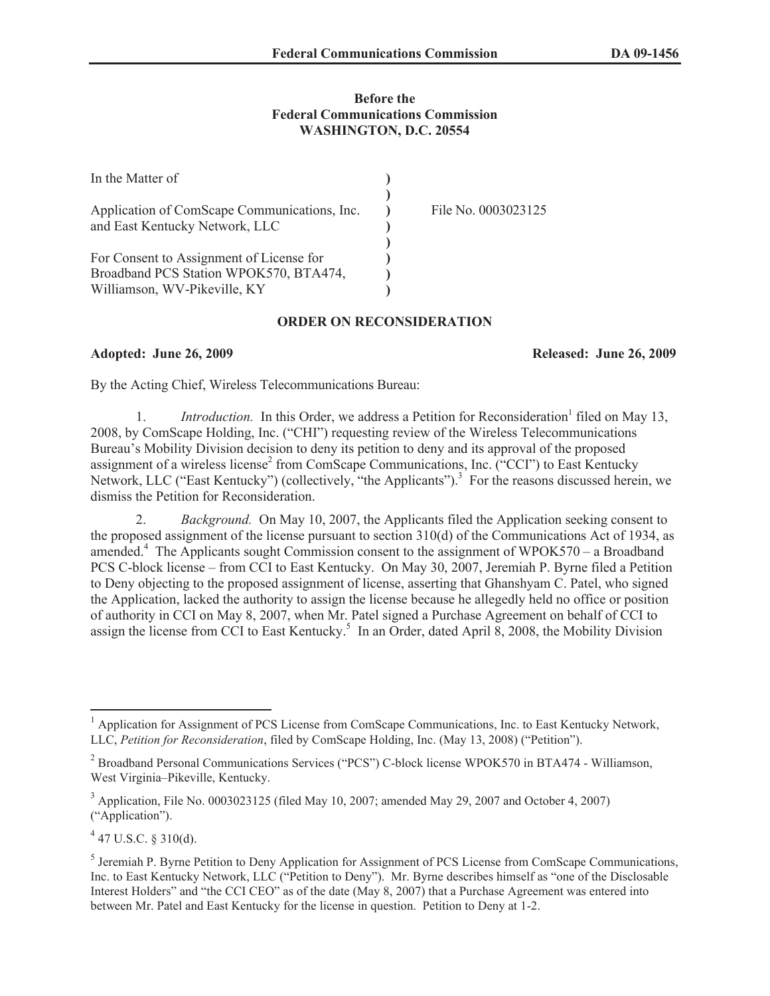## **Before the Federal Communications Commission WASHINGTON, D.C. 20554**

| In the Matter of                                                                                                   |                     |
|--------------------------------------------------------------------------------------------------------------------|---------------------|
| Application of ComScape Communications, Inc.<br>and East Kentucky Network, LLC                                     | File No. 0003023125 |
| For Consent to Assignment of License for<br>Broadband PCS Station WPOK570, BTA474,<br>Williamson, WV-Pikeville, KY |                     |

## **ORDER ON RECONSIDERATION**

**Adopted: June 26, 2009 Released: June 26, 2009**

By the Acting Chief, Wireless Telecommunications Bureau:

1. *Introduction*. In this Order, we address a Petition for Reconsideration<sup>1</sup> filed on May 13, 2008, by ComScape Holding, Inc. ("CHI") requesting review of the Wireless Telecommunications Bureau's Mobility Division decision to deny its petition to deny and its approval of the proposed assignment of a wireless license<sup>2</sup> from ComScape Communications, Inc. ("CCI") to East Kentucky Network, LLC ("East Kentucky") (collectively, "the Applicants").<sup>3</sup> For the reasons discussed herein, we dismiss the Petition for Reconsideration.

2. *Background.* On May 10, 2007, the Applicants filed the Application seeking consent to the proposed assignment of the license pursuant to section 310(d) of the Communications Act of 1934, as amended.<sup>4</sup> The Applicants sought Commission consent to the assignment of WPOK570 – a Broadband PCS C-block license – from CCI to East Kentucky. On May 30, 2007, Jeremiah P. Byrne filed a Petition to Deny objecting to the proposed assignment of license, asserting that Ghanshyam C. Patel, who signed the Application, lacked the authority to assign the license because he allegedly held no office or position of authority in CCI on May 8, 2007, when Mr. Patel signed a Purchase Agreement on behalf of CCI to assign the license from CCI to East Kentucky.<sup>5</sup> In an Order, dated April 8, 2008, the Mobility Division

 $4$  47 U.S.C. § 310(d).

<sup>1</sup> Application for Assignment of PCS License from ComScape Communications, Inc. to East Kentucky Network, LLC, *Petition for Reconsideration*, filed by ComScape Holding, Inc. (May 13, 2008) ("Petition").

<sup>&</sup>lt;sup>2</sup> Broadband Personal Communications Services ("PCS") C-block license WPOK570 in BTA474 - Williamson, West Virginia–Pikeville, Kentucky.

 $3$  Application, File No. 0003023125 (filed May 10, 2007; amended May 29, 2007 and October 4, 2007) ("Application").

<sup>&</sup>lt;sup>5</sup> Jeremiah P. Byrne Petition to Deny Application for Assignment of PCS License from ComScape Communications, Inc. to East Kentucky Network, LLC ("Petition to Deny"). Mr. Byrne describes himself as "one of the Disclosable Interest Holders" and "the CCI CEO" as of the date (May 8, 2007) that a Purchase Agreement was entered into between Mr. Patel and East Kentucky for the license in question. Petition to Deny at 1-2.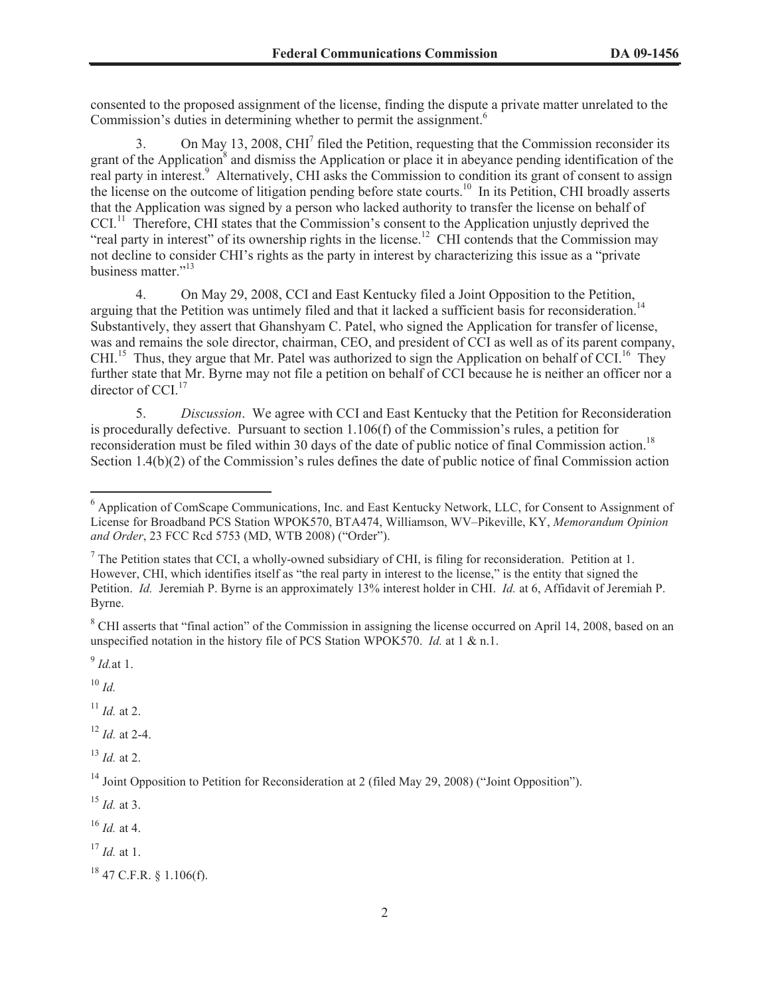consented to the proposed assignment of the license, finding the dispute a private matter unrelated to the Commission's duties in determining whether to permit the assignment.<sup>6</sup>

3. On May 13, 2008, CHI<sup>7</sup> filed the Petition, requesting that the Commission reconsider its grant of the Application<sup>8</sup> and dismiss the Application or place it in abeyance pending identification of the real party in interest.<sup>9</sup> Alternatively, CHI asks the Commission to condition its grant of consent to assign the license on the outcome of litigation pending before state courts.<sup>10</sup> In its Petition, CHI broadly asserts that the Application was signed by a person who lacked authority to transfer the license on behalf of CCI.<sup>11</sup> Therefore, CHI states that the Commission's consent to the Application unjustly deprived the "real party in interest" of its ownership rights in the license.<sup>12</sup> CHI contends that the Commission may not decline to consider CHI's rights as the party in interest by characterizing this issue as a "private business matter."<sup>13</sup>

4. On May 29, 2008, CCI and East Kentucky filed a Joint Opposition to the Petition, arguing that the Petition was untimely filed and that it lacked a sufficient basis for reconsideration.<sup>14</sup> Substantively, they assert that Ghanshyam C. Patel, who signed the Application for transfer of license, was and remains the sole director, chairman, CEO, and president of CCI as well as of its parent company, CHI.<sup>15</sup> Thus, they argue that Mr. Patel was authorized to sign the Application on behalf of CCI.<sup>16</sup> They further state that Mr. Byrne may not file a petition on behalf of CCI because he is neither an officer nor a director of CCI.<sup>17</sup>

5. *Discussion*. We agree with CCI and East Kentucky that the Petition for Reconsideration is procedurally defective. Pursuant to section 1.106(f) of the Commission's rules, a petition for reconsideration must be filed within 30 days of the date of public notice of final Commission action.<sup>18</sup> Section 1.4(b)(2) of the Commission's rules defines the date of public notice of final Commission action

<sup>8</sup> CHI asserts that "final action" of the Commission in assigning the license occurred on April 14, 2008, based on an unspecified notation in the history file of PCS Station WPOK570. *Id.* at 1 & n.1.

9 *Id.*at 1.

 $^{10}$  *Id.* 

 $11$  *Id.* at 2.

<sup>12</sup> *Id.* at 2-4.

 $^{13}$  *Id.* at 2.

<sup>15</sup> *Id.* at 3.

<sup>16</sup> *Id.* at 4.

<sup>17</sup> *Id.* at 1.

<sup>6</sup> Application of ComScape Communications, Inc. and East Kentucky Network, LLC, for Consent to Assignment of License for Broadband PCS Station WPOK570, BTA474, Williamson, WV–Pikeville, KY, *Memorandum Opinion and Order*, 23 FCC Rcd 5753 (MD, WTB 2008) ("Order").

 $<sup>7</sup>$  The Petition states that CCI, a wholly-owned subsidiary of CHI, is filing for reconsideration. Petition at 1.</sup> However, CHI, which identifies itself as "the real party in interest to the license," is the entity that signed the Petition. *Id.* Jeremiah P. Byrne is an approximately 13% interest holder in CHI. *Id.* at 6, Affidavit of Jeremiah P. Byrne.

<sup>&</sup>lt;sup>14</sup> Joint Opposition to Petition for Reconsideration at 2 (filed May 29, 2008) ("Joint Opposition").

 $18$  47 C.F.R.  $\text{\&}$  1.106(f).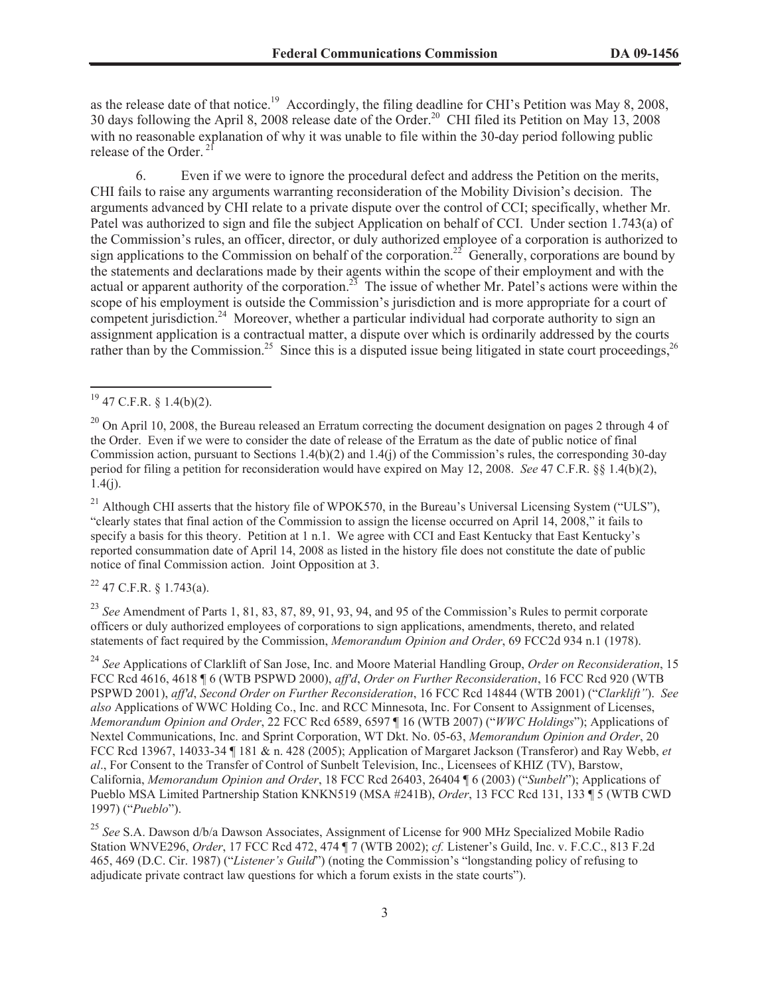as the release date of that notice.<sup>19</sup> Accordingly, the filing deadline for CHI's Petition was May 8, 2008, 30 days following the April 8, 2008 release date of the Order.<sup>20</sup> CHI filed its Petition on May 13, 2008 with no reasonable explanation of why it was unable to file within the 30-day period following public release of the Order.<sup>2</sup>

6. Even if we were to ignore the procedural defect and address the Petition on the merits, CHI fails to raise any arguments warranting reconsideration of the Mobility Division's decision. The arguments advanced by CHI relate to a private dispute over the control of CCI; specifically, whether Mr. Patel was authorized to sign and file the subject Application on behalf of CCI. Under section 1.743(a) of the Commission's rules, an officer, director, or duly authorized employee of a corporation is authorized to sign applications to the Commission on behalf of the corporation.<sup>22</sup> Generally, corporations are bound by the statements and declarations made by their agents within the scope of their employment and with the actual or apparent authority of the corporation.<sup>23</sup> The issue of whether Mr. Patel's actions were within the scope of his employment is outside the Commission's jurisdiction and is more appropriate for a court of competent jurisdiction.<sup>24</sup> Moreover, whether a particular individual had corporate authority to sign an assignment application is a contractual matter, a dispute over which is ordinarily addressed by the courts rather than by the Commission.<sup>25</sup> Since this is a disputed issue being litigated in state court proceedings.<sup>26</sup>

<sup>21</sup> Although CHI asserts that the history file of WPOK570, in the Bureau's Universal Licensing System ("ULS"), "clearly states that final action of the Commission to assign the license occurred on April 14, 2008," it fails to specify a basis for this theory. Petition at 1 n.1. We agree with CCI and East Kentucky that East Kentucky's reported consummation date of April 14, 2008 as listed in the history file does not constitute the date of public notice of final Commission action. Joint Opposition at 3.

 $22$  47 C.F.R. § 1.743(a).

<sup>23</sup> *See* Amendment of Parts 1, 81, 83, 87, 89, 91, 93, 94, and 95 of the Commission's Rules to permit corporate officers or duly authorized employees of corporations to sign applications, amendments, thereto, and related statements of fact required by the Commission, *Memorandum Opinion and Order*, 69 FCC2d 934 n.1 (1978).

<sup>24</sup> *See* Applications of Clarklift of San Jose, Inc. and Moore Material Handling Group, *Order on Reconsideration*, 15 FCC Rcd 4616, 4618 ¶ 6 (WTB PSPWD 2000), *aff'd*, *Order on Further Reconsideration*, 16 FCC Rcd 920 (WTB PSPWD 2001), *aff'd*, *Second Order on Further Reconsideration*, 16 FCC Rcd 14844 (WTB 2001) ("*Clarklift"*). *See also* Applications of WWC Holding Co., Inc. and RCC Minnesota, Inc. For Consent to Assignment of Licenses, *Memorandum Opinion and Order*, 22 FCC Rcd 6589, 6597 ¶ 16 (WTB 2007) ("*WWC Holdings*"); Applications of Nextel Communications, Inc. and Sprint Corporation, WT Dkt. No. 05-63, *Memorandum Opinion and Order*, 20 FCC Rcd 13967, 14033-34 ¶ 181 & n. 428 (2005); Application of Margaret Jackson (Transferor) and Ray Webb, *et al*., For Consent to the Transfer of Control of Sunbelt Television, Inc., Licensees of KHIZ (TV), Barstow, California, *Memorandum Opinion and Order*, 18 FCC Rcd 26403, 26404 ¶ 6 (2003) ("*Sunbelt*"); Applications of Pueblo MSA Limited Partnership Station KNKN519 (MSA #241B), *Order*, 13 FCC Rcd 131, 133 ¶ 5 (WTB CWD 1997) ("*Pueblo*").

<sup>25</sup> *See* S.A. Dawson d/b/a Dawson Associates, Assignment of License for 900 MHz Specialized Mobile Radio Station WNVE296, *Order*, 17 FCC Rcd 472, 474 ¶ 7 (WTB 2002); *cf.* Listener's Guild, Inc. v. F.C.C., 813 F.2d 465, 469 (D.C. Cir. 1987) ("*Listener's Guild*") (noting the Commission's "longstanding policy of refusing to adjudicate private contract law questions for which a forum exists in the state courts").

<sup>19</sup> 47 C.F.R. § 1.4(b)(2).

 $^{20}$  On April 10, 2008, the Bureau released an Erratum correcting the document designation on pages 2 through 4 of the Order. Even if we were to consider the date of release of the Erratum as the date of public notice of final Commission action, pursuant to Sections 1.4(b)(2) and 1.4(j) of the Commission's rules, the corresponding 30-day period for filing a petition for reconsideration would have expired on May 12, 2008. *See* 47 C.F.R. §§ 1.4(b)(2),  $1.4(j)$ .